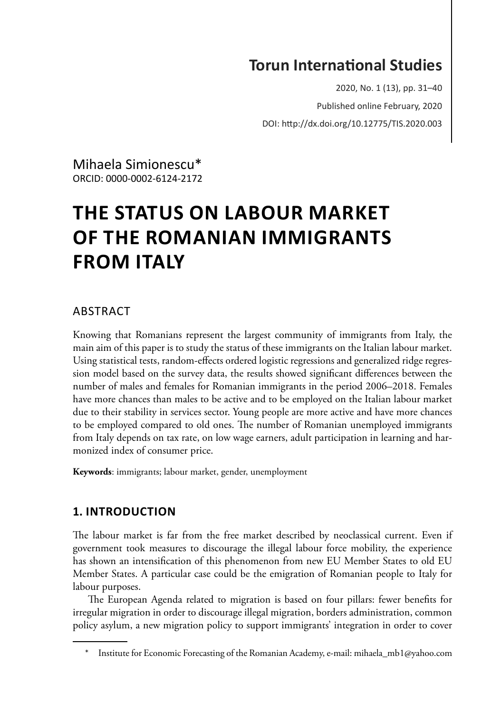# **Torun InternaƟonal Studies**

2020, No. 1 (13), pp. 31–40 Published online February, 2020 DOI: hƩp://dx.doi.org/10.12775/TIS.2020.003

Mihaela Simionescu\*1 ORCID: 0000-0002-6124-2172

# **THE STATUS ON LABOUR MARKET OF THE ROMANIAN IMMIGRANTS FROM ITALY**

## **ARSTRACT**

Knowing that Romanians represent the largest community of immigrants from Italy, the main aim of this paper is to study the status of these immigrants on the Italian labour market. Using statistical tests, random-effects ordered logistic regressions and generalized ridge regression model based on the survey data, the results showed significant differences between the number of males and females for Romanian immigrants in the period 2006–2018. Females have more chances than males to be active and to be employed on the Italian labour market due to their stability in services sector. Young people are more active and have more chances to be employed compared to old ones. The number of Romanian unemployed immigrants from Italy depends on tax rate, on low wage earners, adult participation in learning and harmonized index of consumer price.

**Keywords**: immigrants; labour market, gender, unemployment

# **1. INTRODUCTION**

The labour market is far from the free market described by neoclassical current. Even if government took measures to discourage the illegal labour force mobility, the experience has shown an intensification of this phenomenon from new EU Member States to old EU Member States. A particular case could be the emigration of Romanian people to Italy for labour purposes.

The European Agenda related to migration is based on four pillars: fewer benefits for irregular migration in order to discourage illegal migration, borders administration, common policy asylum, a new migration policy to support immigrants' integration in order to cover

Institute for Economic Forecasting of the Romanian Academy, e-mail: mihaela\_mb1@yahoo.com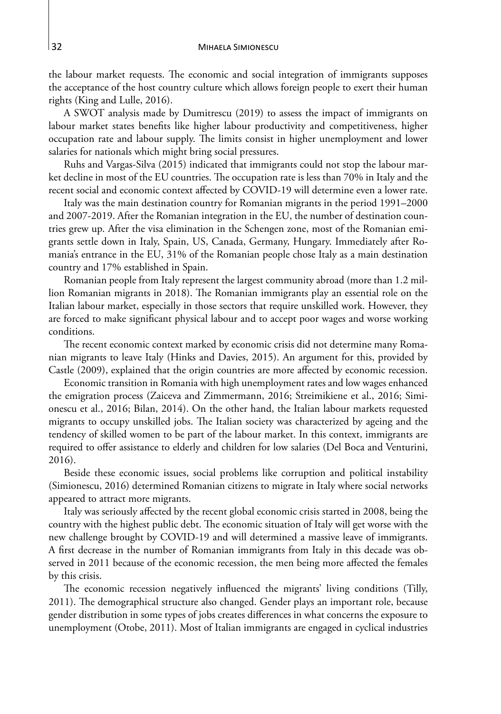the labour market requests. The economic and social integration of immigrants supposes the acceptance of the host country culture which allows foreign people to exert their human rights (King and Lulle, 2016).

A SWOT analysis made by Dumitrescu (2019) to assess the impact of immigrants on labour market states benefits like higher labour productivity and competitiveness, higher occupation rate and labour supply. The limits consist in higher unemployment and lower salaries for nationals which might bring social pressures.

 Ruhs and Vargas-Silva (2015) indicated that immigrants could not stop the labour market decline in most of the EU countries. The occupation rate is less than 70% in Italy and the recent social and economic context affected by COVID-19 will determine even a lower rate.

Italy was the main destination country for Romanian migrants in the period 1991–2000 and 2007-2019. After the Romanian integration in the EU, the number of destination countries grew up. After the visa elimination in the Schengen zone, most of the Romanian emigrants settle down in Italy, Spain, US, Canada, Germany, Hungary. Immediately after Romania's entrance in the EU, 31% of the Romanian people chose Italy as a main destination country and 17% established in Spain.

Romanian people from Italy represent the largest community abroad (more than 1.2 million Romanian migrants in 2018). The Romanian immigrants play an essential role on the Italian labour market, especially in those sectors that require unskilled work. However, they are forced to make significant physical labour and to accept poor wages and worse working conditions.

The recent economic context marked by economic crisis did not determine many Romanian migrants to leave Italy (Hinks and Davies, 2015). An argument for this, provided by Castle (2009), explained that the origin countries are more affected by economic recession.

Economic transition in Romania with high unemployment rates and low wages enhanced the emigration process (Zaiceva and Zimmermann, 2016; Streimikiene et al., 2016; Simionescu et al., 2016; Bilan, 2014). On the other hand, the Italian labour markets requested migrants to occupy unskilled jobs. The Italian society was characterized by ageing and the tendency of skilled women to be part of the labour market. In this context, immigrants are required to offer assistance to elderly and children for low salaries (Del Boca and Venturini, 2016).

Beside these economic issues, social problems like corruption and political instability (Simionescu, 2016) determined Romanian citizens to migrate in Italy where social networks appeared to attract more migrants.

Italy was seriously affected by the recent global economic crisis started in 2008, being the country with the highest public debt. The economic situation of Italy will get worse with the new challenge brought by COVID-19 and will determined a massive leave of immigrants. A first decrease in the number of Romanian immigrants from Italy in this decade was observed in 2011 because of the economic recession, the men being more affected the females by this crisis.

The economic recession negatively influenced the migrants' living conditions (Tilly, 2011). The demographical structure also changed. Gender plays an important role, because gender distribution in some types of jobs creates differences in what concerns the exposure to unemployment (Otobe, 2011). Most of Italian immigrants are engaged in cyclical industries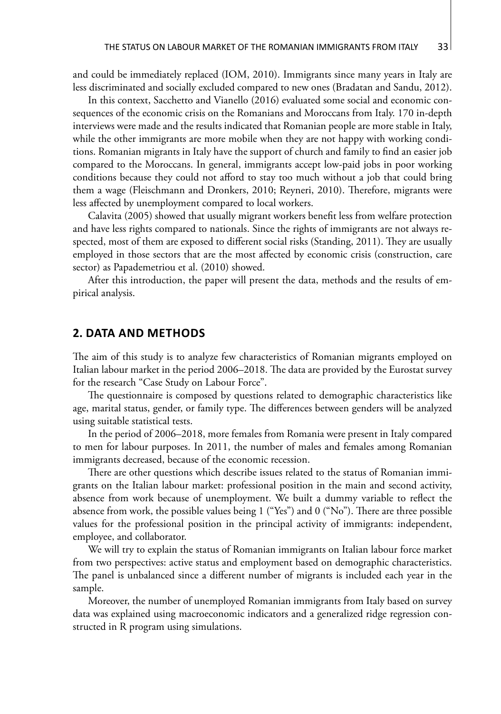and could be immediately replaced (IOM, 2010). Immigrants since many years in Italy are less discriminated and socially excluded compared to new ones (Bradatan and Sandu, 2012).

In this context, Sacchetto and Vianello (2016) evaluated some social and economic consequences of the economic crisis on the Romanians and Moroccans from Italy. 170 in-depth interviews were made and the results indicated that Romanian people are more stable in Italy, while the other immigrants are more mobile when they are not happy with working conditions. Romanian migrants in Italy have the support of church and family to find an easier job compared to the Moroccans. In general, immigrants accept low-paid jobs in poor working conditions because they could not afford to stay too much without a job that could bring them a wage (Fleischmann and Dronkers, 2010; Reyneri, 2010). Therefore, migrants were less affected by unemployment compared to local workers.

Calavita (2005) showed that usually migrant workers benefit less from welfare protection and have less rights compared to nationals. Since the rights of immigrants are not always respected, most of them are exposed to different social risks (Standing, 2011). They are usually employed in those sectors that are the most affected by economic crisis (construction, care sector) as Papademetriou et al. (2010) showed.

After this introduction, the paper will present the data, methods and the results of empirical analysis.

#### **2. DATA AND METHODS**

The aim of this study is to analyze few characteristics of Romanian migrants employed on Italian labour market in the period 2006–2018. The data are provided by the Eurostat survey for the research "Case Study on Labour Force".

The questionnaire is composed by questions related to demographic characteristics like age, marital status, gender, or family type. The differences between genders will be analyzed using suitable statistical tests.

In the period of 2006–2018, more females from Romania were present in Italy compared to men for labour purposes. In 2011, the number of males and females among Romanian immigrants decreased, because of the economic recession.

There are other questions which describe issues related to the status of Romanian immigrants on the Italian labour market: professional position in the main and second activity, absence from work because of unemployment. We built a dummy variable to reflect the absence from work, the possible values being 1 ("Yes") and 0 ("No"). There are three possible values for the professional position in the principal activity of immigrants: independent, employee, and collaborator.

We will try to explain the status of Romanian immigrants on Italian labour force market from two perspectives: active status and employment based on demographic characteristics. The panel is unbalanced since a different number of migrants is included each year in the sample.

Moreover, the number of unemployed Romanian immigrants from Italy based on survey data was explained using macroeconomic indicators and a generalized ridge regression constructed in R program using simulations.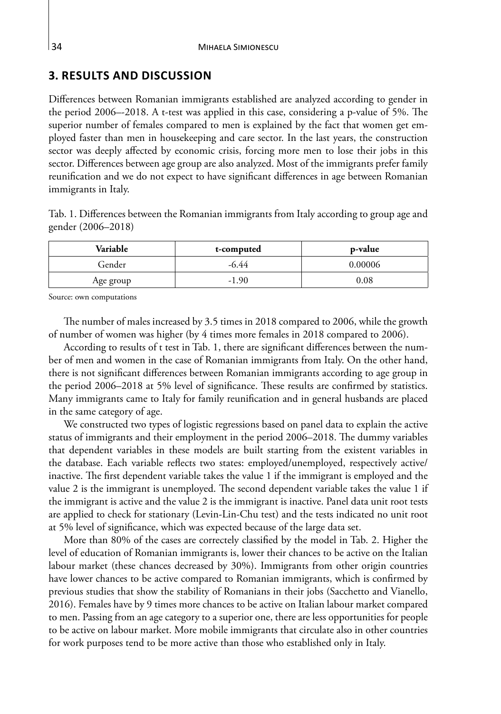## **3. RESULTS AND DISCUSSION**

Differences between Romanian immigrants established are analyzed according to gender in the period 2006–-2018. A t-test was applied in this case, considering a p-value of 5%. The superior number of females compared to men is explained by the fact that women get employed faster than men in housekeeping and care sector. In the last years, the construction sector was deeply affected by economic crisis, forcing more men to lose their jobs in this sector. Differences between age group are also analyzed. Most of the immigrants prefer family reunification and we do not expect to have significant differences in age between Romanian immigrants in Italy.

Tab. 1. Differences between the Romanian immigrants from Italy according to group age and gender (2006–2018)

| Variable  | t-computed | p-value |
|-----------|------------|---------|
| Gender    | -6.44      | 0.00006 |
| Age group | $-1.90$    | 0.08    |

Source: own computations

The number of males increased by 3.5 times in 2018 compared to 2006, while the growth of number of women was higher (by 4 times more females in 2018 compared to 2006).

According to results of t test in Tab. 1, there are significant differences between the number of men and women in the case of Romanian immigrants from Italy. On the other hand, there is not significant differences between Romanian immigrants according to age group in the period 2006–2018 at 5% level of significance. These results are confirmed by statistics. Many immigrants came to Italy for family reunification and in general husbands are placed in the same category of age.

We constructed two types of logistic regressions based on panel data to explain the active status of immigrants and their employment in the period 2006–2018. The dummy variables that dependent variables in these models are built starting from the existent variables in the database. Each variable reflects two states: employed/unemployed, respectively active/ inactive. The first dependent variable takes the value 1 if the immigrant is employed and the value 2 is the immigrant is unemployed. The second dependent variable takes the value 1 if the immigrant is active and the value 2 is the immigrant is inactive. Panel data unit root tests are applied to check for stationary (Levin-Lin-Chu test) and the tests indicated no unit root at 5% level of significance, which was expected because of the large data set.

More than 80% of the cases are correctely classified by the model in Tab. 2. Higher the level of education of Romanian immigrants is, lower their chances to be active on the Italian labour market (these chances decreased by 30%). Immigrants from other origin countries have lower chances to be active compared to Romanian immigrants, which is confirmed by previous studies that show the stability of Romanians in their jobs (Sacchetto and Vianello, 2016). Females have by 9 times more chances to be active on Italian labour market compared to men. Passing from an age category to a superior one, there are less opportunities for people to be active on labour market. More mobile immigrants that circulate also in other countries for work purposes tend to be more active than those who established only in Italy.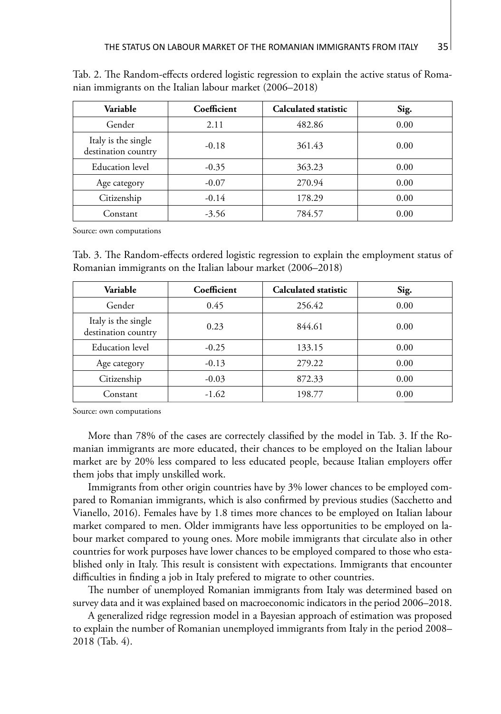| Variable                                   | Coefficient | Calculated statistic | Sig. |
|--------------------------------------------|-------------|----------------------|------|
| Gender                                     | 2.11        | 482.86               | 0.00 |
| Italy is the single<br>destination country | $-0.18$     | 361.43               | 0.00 |
| Education level                            | $-0.35$     | 363.23               | 0.00 |
| Age category                               | $-0.07$     | 270.94               | 0.00 |
| Citizenship                                | $-0.14$     | 178.29               | 0.00 |
| Constant                                   | $-3.56$     | 784.57               | 0.00 |

Tab. 2. The Random-effects ordered logistic regression to explain the active status of Romanian immigrants on the Italian labour market (2006–2018)

Source: own computations

Tab. 3. The Random-effects ordered logistic regression to explain the employment status of Romanian immigrants on the Italian labour market (2006–2018)

| Variable                                   | Coefficient | Calculated statistic | Sig. |
|--------------------------------------------|-------------|----------------------|------|
| Gender                                     | 0.45        | 256.42               | 0.00 |
| Italy is the single<br>destination country | 0.23        | 844.61               | 0.00 |
| Education level                            | $-0.25$     | 133.15               | 0.00 |
| Age category                               | $-0.13$     | 279.22               | 0.00 |
| Citizenship                                | $-0.03$     | 872.33               | 0.00 |
| Constant                                   | $-1.62$     | 198.77               | 0.00 |

Source: own computations

More than 78% of the cases are correctely classified by the model in Tab. 3. If the Romanian immigrants are more educated, their chances to be employed on the Italian labour market are by 20% less compared to less educated people, because Italian employers offer them jobs that imply unskilled work.

Immigrants from other origin countries have by 3% lower chances to be employed compared to Romanian immigrants, which is also confirmed by previous studies (Sacchetto and Vianello, 2016). Females have by 1.8 times more chances to be employed on Italian labour market compared to men. Older immigrants have less opportunities to be employed on labour market compared to young ones. More mobile immigrants that circulate also in other countries for work purposes have lower chances to be employed compared to those who established only in Italy. This result is consistent with expectations. Immigrants that encounter difficulties in finding a job in Italy prefered to migrate to other countries.

The number of unemployed Romanian immigrants from Italy was determined based on survey data and it was explained based on macroeconomic indicators in the period 2006–2018.

A generalized ridge regression model in a Bayesian approach of estimation was proposed to explain the number of Romanian unemployed immigrants from Italy in the period 2008– 2018 (Tab. 4).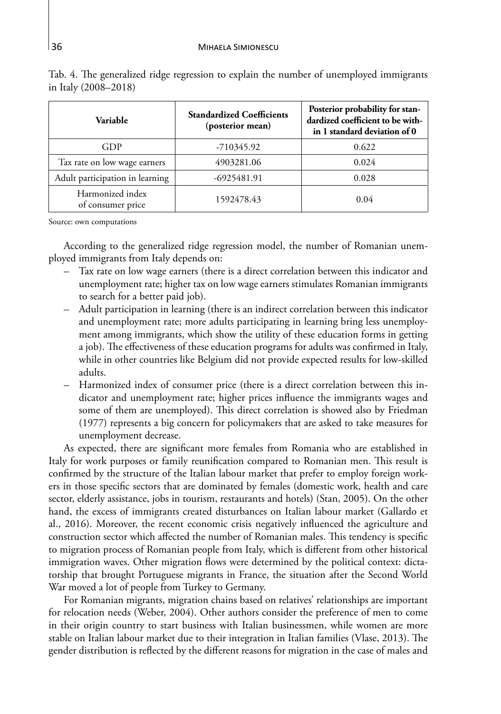| Variable                              | <b>Standardized Coefficients</b><br>(posterior mean) | Posterior probability for stan-<br>dardized coefficient to be with-<br>in 1 standard deviation of 0 |
|---------------------------------------|------------------------------------------------------|-----------------------------------------------------------------------------------------------------|
| GDP                                   | -710345.92                                           | 0.622                                                                                               |
| Tax rate on low wage earners          | 4903281.06                                           | 0.024                                                                                               |
| Adult participation in learning       | $-6925481.91$                                        | 0.028                                                                                               |
| Harmonized index<br>of consumer price | 1592478.43                                           | 0.04                                                                                                |

Tab. 4. The generalized ridge regression to explain the number of unemployed immigrants in Italy (2008–2018)

Source: own computations

According to the generalized ridge regression model, the number of Romanian unemployed immigrants from Italy depends on:

- Tax rate on low wage earners (there is a direct correlation between this indicator and unemployment rate; higher tax on low wage earners stimulates Romanian immigrants to search for a better paid job).
- Adult participation in learning (there is an indirect correlation between this indicator and unemployment rate; more adults participating in learning bring less unemployment among immigrants, which show the utility of these education forms in getting a job). The effectiveness of these education programs for adults was confirmed in Italy, while in other countries like Belgium did not provide expected results for low-skilled adults.
- Harmonized index of consumer price (there is a direct correlation between this indicator and unemployment rate; higher prices influence the immigrants wages and some of them are unemployed). This direct correlation is showed also by Friedman (1977) represents a big concern for policymakers that are asked to take measures for unemployment decrease.

As expected, there are significant more females from Romania who are established in Italy for work purposes or family reunification compared to Romanian men. This result is confirmed by the structure of the Italian labour market that prefer to employ foreign workers in those specific sectors that are dominated by females (domestic work, health and care sector, elderly assistance, jobs in tourism, restaurants and hotels) (Stan, 2005). On the other hand, the excess of immigrants created disturbances on Italian labour market (Gallardo et al., 2016). Moreover, the recent economic crisis negatively influenced the agriculture and construction sector which affected the number of Romanian males. This tendency is specific to migration process of Romanian people from Italy, which is different from other historical immigration waves. Other migration flows were determined by the political context: dictatorship that brought Portuguese migrants in France, the situation after the Second World War moved a lot of people from Turkey to Germany.

For Romanian migrants, migration chains based on relatives' relationships are important for relocation needs (Weber, 2004). Other authors consider the preference of men to come in their origin country to start business with Italian businessmen, while women are more stable on Italian labour market due to their integration in Italian families (Vlase, 2013). The gender distribution is reflected by the different reasons for migration in the case of males and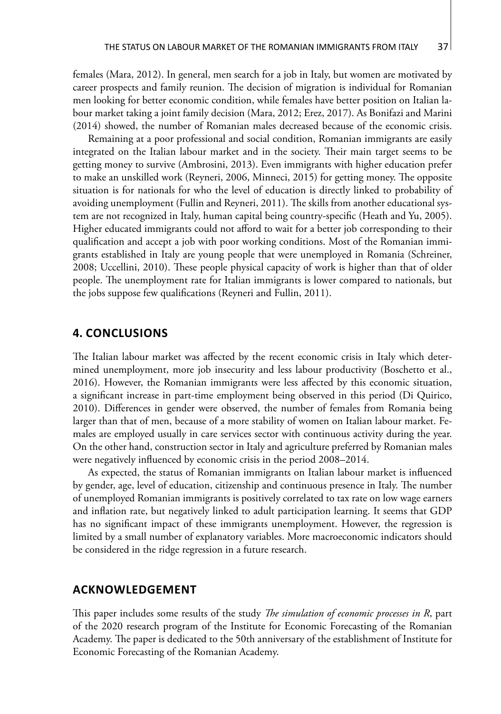females (Mara, 2012). In general, men search for a job in Italy, but women are motivated by career prospects and family reunion. The decision of migration is individual for Romanian men looking for better economic condition, while females have better position on Italian labour market taking a joint family decision (Mara, 2012; Erez, 2017). As Bonifazi and Marini (2014) showed, the number of Romanian males decreased because of the economic crisis.

Remaining at a poor professional and social condition, Romanian immigrants are easily integrated on the Italian labour market and in the society. Their main target seems to be getting money to survive (Ambrosini, 2013). Even immigrants with higher education prefer to make an unskilled work (Reyneri, 2006, Minneci, 2015) for getting money. The opposite situation is for nationals for who the level of education is directly linked to probability of avoiding unemployment (Fullin and Reyneri, 2011). The skills from another educational system are not recognized in Italy, human capital being country-specific (Heath and Yu, 2005). Higher educated immigrants could not afford to wait for a better job corresponding to their qualification and accept a job with poor working conditions. Most of the Romanian immigrants established in Italy are young people that were unemployed in Romania (Schreiner, 2008; Uccellini, 2010). These people physical capacity of work is higher than that of older people. The unemployment rate for Italian immigrants is lower compared to nationals, but the jobs suppose few qualifications (Reyneri and Fullin, 2011).

#### **4. CONCLUSIONS**

The Italian labour market was affected by the recent economic crisis in Italy which determined unemployment, more job insecurity and less labour productivity (Boschetto et al., 2016). However, the Romanian immigrants were less affected by this economic situation, a significant increase in part-time employment being observed in this period (Di Quirico, 2010). Differences in gender were observed, the number of females from Romania being larger than that of men, because of a more stability of women on Italian labour market. Females are employed usually in care services sector with continuous activity during the year. On the other hand, construction sector in Italy and agriculture preferred by Romanian males were negatively influenced by economic crisis in the period 2008–2014.

As expected, the status of Romanian immigrants on Italian labour market is influenced by gender, age, level of education, citizenship and continuous presence in Italy. The number of unemployed Romanian immigrants is positively correlated to tax rate on low wage earners and inflation rate, but negatively linked to adult participation learning. It seems that GDP has no significant impact of these immigrants unemployment. However, the regression is limited by a small number of explanatory variables. More macroeconomic indicators should be considered in the ridge regression in a future research.

#### **ACKNOWLEDGEMENT**

This paper includes some results of the study *The simulation of economic processes in R*, part of the 2020 research program of the Institute for Economic Forecasting of the Romanian Academy. The paper is dedicated to the 50th anniversary of the establishment of Institute for Economic Forecasting of the Romanian Academy.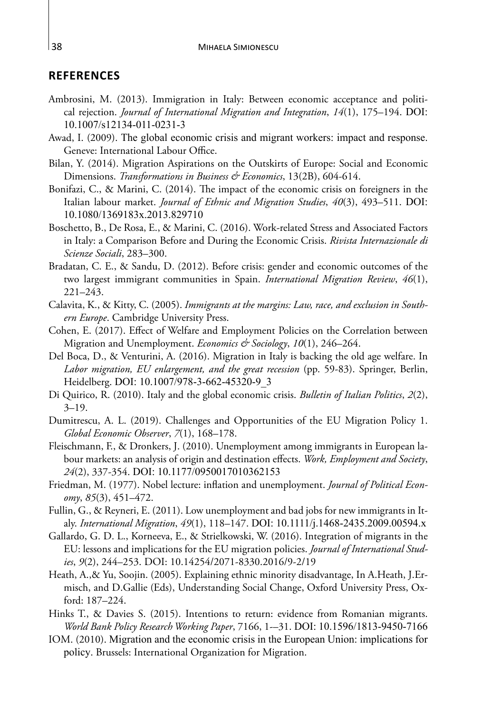#### **REFERENCES**

- Ambrosini, M. (2013). Immigration in Italy: Between economic acceptance and political rejection. *Journal of International Migration and Integration*, *14*(1), 175–194. DOI: 10.1007/s12134-011-0231-3
- Awad, I. (2009). The global economic crisis and migrant workers: impact and response. Geneve: International Labour Office.
- Bilan, Y. (2014). Migration Aspirations on the Outskirts of Europe: Social and Economic Dimensions. *Transformations in Business & Economics*, 13(2B), 604-614.
- Bonifazi, C., & Marini, C. (2014). The impact of the economic crisis on foreigners in the Italian labour market. *Journal of Ethnic and Migration Studies*, *40*(3), 493–511. DOI: 10.1080/1369183x.2013.829710
- Boschetto, B., De Rosa, E., & Marini, C. (2016). Work-related Stress and Associated Factors in Italy: a Comparison Before and During the Economic Crisis. *Rivista Internazionale di Scienze Sociali*, 283–300.
- Bradatan, C. E., & Sandu, D. (2012). Before crisis: gender and economic outcomes of the two largest immigrant communities in Spain. *International Migration Review*, *46*(1), 221–243.
- Calavita, K., & Kitty, C. (2005). *Immigrants at the margins: Law, race, and exclusion in Southern Europe*. Cambridge University Press.
- Cohen, E. (2017). Effect of Welfare and Employment Policies on the Correlation between Migration and Unemployment. *Economics & Sociology*, *10*(1), 246–264.
- Del Boca, D., & Venturini, A. (2016). Migration in Italy is backing the old age welfare. In *Labor migration, EU enlargement, and the great recession* (pp. 59-83). Springer, Berlin, Heidelberg. DOI: 10.1007/978-3-662-45320-9\_3
- Di Quirico, R. (2010). Italy and the global economic crisis. *Bulletin of Italian Politics*, *2*(2),  $3 - 19$ .
- Dumitrescu, A. L. (2019). Challenges and Opportunities of the EU Migration Policy 1. *Global Economic Observer*, *7*(1), 168–178.
- Fleischmann, F., & Dronkers, J. (2010). Unemployment among immigrants in European labour markets: an analysis of origin and destination effects. *Work, Employment and Society*, *24*(2), 337-354. DOI: 10.1177/0950017010362153
- Friedman, M. (1977). Nobel lecture: inflation and unemployment. *Journal of Political Economy*, *85*(3), 451–472.
- Fullin, G., & Reyneri, E. (2011). Low unemployment and bad jobs for new immigrants in Italy. *International Migration*, *49*(1), 118–147. DOI: 10.1111/j.1468-2435.2009.00594.x
- Gallardo, G. D. L., Korneeva, E., & Strielkowski, W. (2016). Integration of migrants in the EU: lessons and implications for the EU migration policies. *Journal of International Studies*, *9*(2), 244–253. DOI: 10.14254/2071-8330.2016/9-2/19
- Heath, A.,& Yu, Soojin. (2005). Explaining ethnic minority disadvantage, In A.Heath, J.Ermisch, and D.Gallie (Eds), Understanding Social Change, Oxford University Press, Oxford: 187–224.
- Hinks T., & Davies S. (2015). Intentions to return: evidence from Romanian migrants. *World Bank Policy Research Working Paper*, 7166, 1-–31. DOI: 10.1596/1813-9450-7166
- IOM. (2010). Migration and the economic crisis in the European Union: implications for policy. Brussels: International Organization for Migration.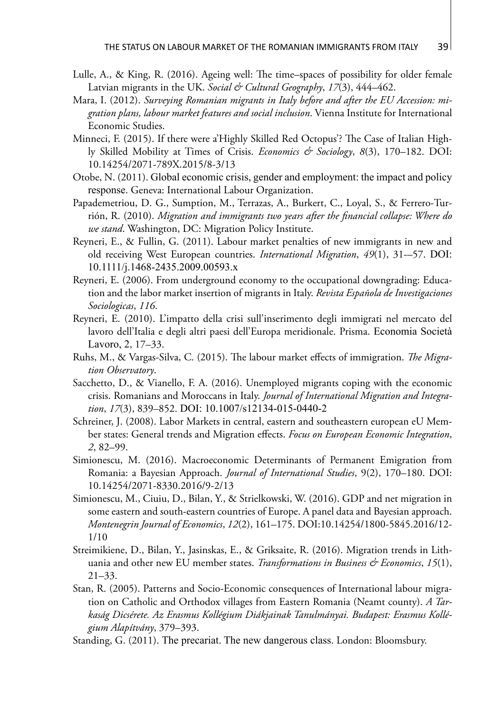- Lulle, A., & King, R. (2016). Ageing well: The time–spaces of possibility for older female Latvian migrants in the UK. *Social & Cultural Geography*, *17*(3), 444–462.
- Mara, I. (2012). *Surveying Romanian migrants in Italy before and after the EU Accession: migration plans, labour market features and social inclusion*. Vienna Institute for International Economic Studies.
- Minneci, F. (2015). If there were a'Highly Skilled Red Octopus'? The Case of Italian Highly Skilled Mobility at Times of Crisis. *Economics & Sociology*, *8*(3), 170–182. DOI: 10.14254/2071-789X.2015/8-3/13
- Otobe, N. (2011). Global economic crisis, gender and employment: the impact and policy response. Geneva: International Labour Organization.
- Papademetriou, D. G., Sumption, M., Terrazas, A., Burkert, C., Loyal, S., & Ferrero-Turrión, R. (2010). *Migration and immigrants two years after the financial collapse: Where do we stand*. Washington, DC: Migration Policy Institute.
- Reyneri, E., & Fullin, G. (2011). Labour market penalties of new immigrants in new and old receiving West European countries. *International Migration*, *49*(1), 31-–57. DOI: 10.1111/j.1468-2435.2009.00593.x
- Reyneri, E. (2006). From underground economy to the occupational downgrading: Education and the labor market insertion of migrants in Italy. *Revista Española de Investigaciones Sociologicas*, *116*.
- Reyneri, E. (2010). L'impatto della crisi sull'inserimento degli immigrati nel mercato del lavoro dell'Italia e degli altri paesi dell'Europa meridionale. Prisma. Economia Società Lavoro, 2, 17–33.
- Ruhs, M., & Vargas-Silva, C. (2015). The labour market effects of immigration. *The Migration Observatory*.
- Sacchetto, D., & Vianello, F. A. (2016). Unemployed migrants coping with the economic crisis. Romanians and Moroccans in Italy. *Journal of International Migration and Integration*, *17*(3), 839–852. DOI: 10.1007/s12134-015-0440-2
- Schreiner, J. (2008). Labor Markets in central, eastern and southeastern european eU Member states: General trends and Migration effects. *Focus on European Economic Integration*, *2*, 82–99.
- Simionescu, M. (2016). Macroeconomic Determinants of Permanent Emigration from Romania: a Bayesian Approach. *Journal of International Studies*, 9(2), 170–180. DOI: 10.14254/2071-8330.2016/9-2/13
- Simionescu, M., Ciuiu, D., Bilan, Y., & Strielkowski, W. (2016). GDP and net migration in some eastern and south-eastern countries of Europe. A panel data and Bayesian approach. *Montenegrin Journal of Economics*, *12*(2), 161–175. DOI:10.14254/1800-5845.2016/12- 1/10
- Streimikiene, D., Bilan, Y., Jasinskas, E., & Griksaite, R. (2016). Migration trends in Lithuania and other new EU member states. *Transformations in Business & Economics*, *15*(1), 21–33.
- Stan, R. (2005). Patterns and Socio-Economic consequences of International labour migration on Catholic and Orthodox villages from Eastern Romania (Neamt county). *A Tarkaság Dicsérete. Az Erasmus Kollégium Diákjainak Tanulmányai. Budapest: Erasmus Kollégium Alapítvány*, 379–393.
- Standing, G. (2011). The precariat. The new dangerous class. London: Bloomsbury.